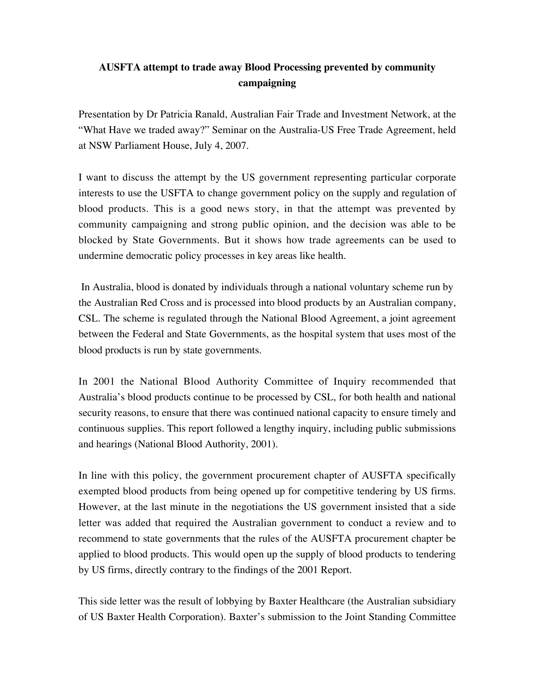## **AUSFTA attempt to trade away Blood Processing prevented by community campaigning**

Presentation by Dr Patricia Ranald, Australian Fair Trade and Investment Network, at the "What Have we traded away?" Seminar on the Australia-US Free Trade Agreement, held at NSW Parliament House, July 4, 2007.

I want to discuss the attempt by the US government representing particular corporate interests to use the USFTA to change government policy on the supply and regulation of blood products. This is a good news story, in that the attempt was prevented by community campaigning and strong public opinion, and the decision was able to be blocked by State Governments. But it shows how trade agreements can be used to undermine democratic policy processes in key areas like health.

 In Australia, blood is donated by individuals through a national voluntary scheme run by the Australian Red Cross and is processed into blood products by an Australian company, CSL. The scheme is regulated through the National Blood Agreement, a joint agreement between the Federal and State Governments, as the hospital system that uses most of the blood products is run by state governments.

In 2001 the National Blood Authority Committee of Inquiry recommended that Australia's blood products continue to be processed by CSL, for both health and national security reasons, to ensure that there was continued national capacity to ensure timely and continuous supplies. This report followed a lengthy inquiry, including public submissions and hearings (National Blood Authority, 2001).

In line with this policy, the government procurement chapter of AUSFTA specifically exempted blood products from being opened up for competitive tendering by US firms. However, at the last minute in the negotiations the US government insisted that a side letter was added that required the Australian government to conduct a review and to recommend to state governments that the rules of the AUSFTA procurement chapter be applied to blood products. This would open up the supply of blood products to tendering by US firms, directly contrary to the findings of the 2001 Report.

This side letter was the result of lobbying by Baxter Healthcare (the Australian subsidiary of US Baxter Health Corporation). Baxter's submission to the Joint Standing Committee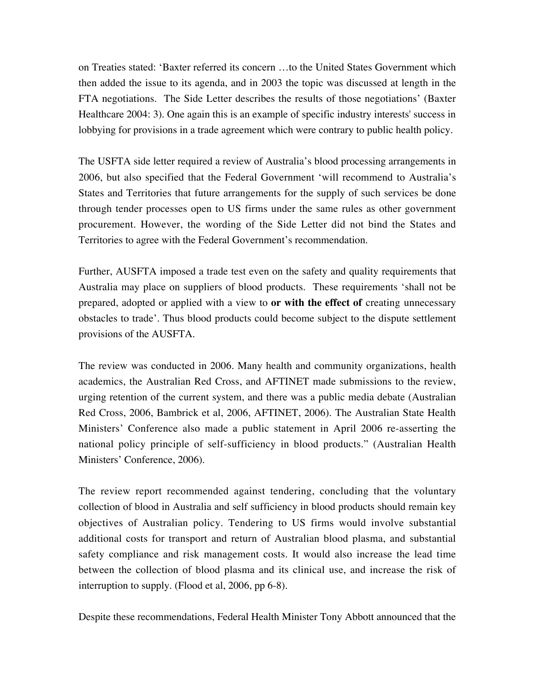on Treaties stated: 'Baxter referred its concern …to the United States Government which then added the issue to its agenda, and in 2003 the topic was discussed at length in the FTA negotiations. The Side Letter describes the results of those negotiations' (Baxter Healthcare 2004: 3). One again this is an example of specific industry interests' success in lobbying for provisions in a trade agreement which were contrary to public health policy.

The USFTA side letter required a review of Australia's blood processing arrangements in 2006, but also specified that the Federal Government 'will recommend to Australia's States and Territories that future arrangements for the supply of such services be done through tender processes open to US firms under the same rules as other government procurement. However, the wording of the Side Letter did not bind the States and Territories to agree with the Federal Government's recommendation.

Further, AUSFTA imposed a trade test even on the safety and quality requirements that Australia may place on suppliers of blood products. These requirements 'shall not be prepared, adopted or applied with a view to **or with the effect of** creating unnecessary obstacles to trade'. Thus blood products could become subject to the dispute settlement provisions of the AUSFTA.

The review was conducted in 2006. Many health and community organizations, health academics, the Australian Red Cross, and AFTINET made submissions to the review, urging retention of the current system, and there was a public media debate (Australian Red Cross, 2006, Bambrick et al, 2006, AFTINET, 2006). The Australian State Health Ministers' Conference also made a public statement in April 2006 re-asserting the national policy principle of self-sufficiency in blood products." (Australian Health Ministers' Conference, 2006).

The review report recommended against tendering, concluding that the voluntary collection of blood in Australia and self sufficiency in blood products should remain key objectives of Australian policy. Tendering to US firms would involve substantial additional costs for transport and return of Australian blood plasma, and substantial safety compliance and risk management costs. It would also increase the lead time between the collection of blood plasma and its clinical use, and increase the risk of interruption to supply. (Flood et al, 2006, pp 6-8).

Despite these recommendations, Federal Health Minister Tony Abbott announced that the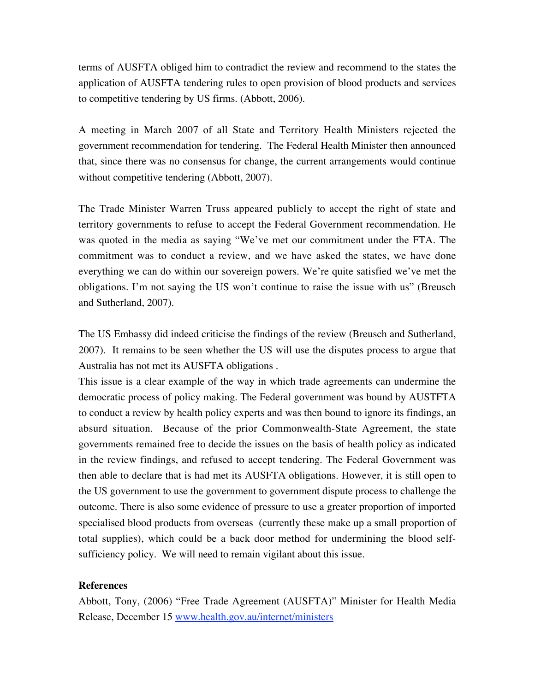terms of AUSFTA obliged him to contradict the review and recommend to the states the application of AUSFTA tendering rules to open provision of blood products and services to competitive tendering by US firms. (Abbott, 2006).

A meeting in March 2007 of all State and Territory Health Ministers rejected the government recommendation for tendering. The Federal Health Minister then announced that, since there was no consensus for change, the current arrangements would continue without competitive tendering (Abbott, 2007).

The Trade Minister Warren Truss appeared publicly to accept the right of state and territory governments to refuse to accept the Federal Government recommendation. He was quoted in the media as saying "We've met our commitment under the FTA. The commitment was to conduct a review, and we have asked the states, we have done everything we can do within our sovereign powers. We're quite satisfied we've met the obligations. I'm not saying the US won't continue to raise the issue with us" (Breusch and Sutherland, 2007).

The US Embassy did indeed criticise the findings of the review (Breusch and Sutherland, 2007). It remains to be seen whether the US will use the disputes process to argue that Australia has not met its AUSFTA obligations .

This issue is a clear example of the way in which trade agreements can undermine the democratic process of policy making. The Federal government was bound by AUSTFTA to conduct a review by health policy experts and was then bound to ignore its findings, an absurd situation. Because of the prior Commonwealth-State Agreement, the state governments remained free to decide the issues on the basis of health policy as indicated in the review findings, and refused to accept tendering. The Federal Government was then able to declare that is had met its AUSFTA obligations. However, it is still open to the US government to use the government to government dispute process to challenge the outcome. There is also some evidence of pressure to use a greater proportion of imported specialised blood products from overseas (currently these make up a small proportion of total supplies), which could be a back door method for undermining the blood selfsufficiency policy. We will need to remain vigilant about this issue.

## **References**

Abbott, Tony, (2006) "Free Trade Agreement (AUSFTA)" Minister for Health Media Release, December 15 www.health.gov.au/internet/ministers